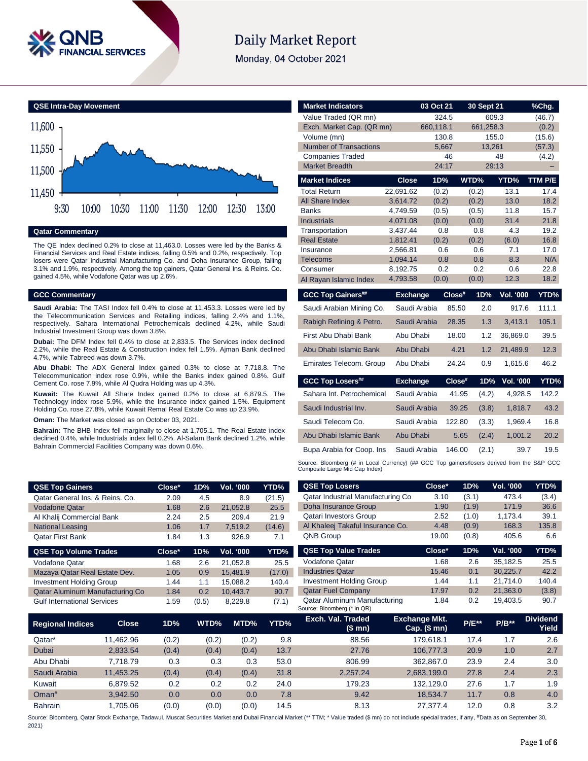

# Daily Market Report

Monday, 04 October 2021



#### **Qatar Commentary**

The QE Index declined 0.2% to close at 11,463.0. Losses were led by the Banks & Financial Services and Real Estate indices, falling 0.5% and 0.2%, respectively. Top losers were Qatar Industrial Manufacturing Co. and Doha Insurance Group, falling 3.1% and 1.9%, respectively. Among the top gainers, Qatar General Ins. & Reins. Co. gained 4.5%, while Vodafone Qatar was up 2.6%.

#### **GCC Commentary**

**Saudi Arabia:** The TASI Index fell 0.4% to close at 11,453.3. Losses were led by the Telecommunication Services and Retailing indices, falling 2.4% and 1.1%, respectively. Sahara International Petrochemicals declined 4.2%, while Saudi Industrial Investment Group was down 3.8%.

**Dubai:** The DFM Index fell 0.4% to close at 2,833.5. The Services index declined 2.2%, while the Real Estate & Construction index fell 1.5%. Ajman Bank declined 4.7%, while Tabreed was down 3.7%.

**Abu Dhabi:** The ADX General Index gained 0.3% to close at 7,718.8. The Telecommunication index rose 0.9%, while the Banks index gained 0.8%. Gulf Cement Co. rose 7.9%, while Al Qudra Holding was up 4.3%.

**Kuwait:** The Kuwait All Share Index gained 0.2% to close at 6,879.5. The Technology index rose 5.9%, while the Insurance index gained 1.5%. Equipment Holding Co. rose 27.8%, while Kuwait Remal Real Estate Co was up 23.9%.

**Oman:** The Market was closed as on October 03, 2021.

**Bahrain:** The BHB Index fell marginally to close at 1,705.1. The Real Estate index declined 0.4%, while Industrials index fell 0.2%. Al-Salam Bank declined 1.2%, while Bahrain Commercial Facilities Company was down 0.6%.

| <b>Market Indicators</b>                                | 03 Oct 21    | 30 Sept 21      |                  | %Chg.        |
|---------------------------------------------------------|--------------|-----------------|------------------|--------------|
| Value Traded (QR mn)                                    | 324.5        |                 | 609.3            | (46.7)       |
| Exch. Market Cap. (QR mn)                               | 660,118.1    | 661,258.3       |                  | (0.2)        |
| Volume (mn)                                             | 130.8        |                 | 155.0            | (15.6)       |
| <b>Number of Transactions</b>                           | 5,667        | 13,261          |                  | (57.3)       |
| <b>Companies Traded</b>                                 | 46           |                 | 48               | (4.2)        |
| <b>Market Breadth</b>                                   | 24:17        |                 | 29:13            |              |
| <b>Market Indices</b><br><b>Close</b>                   | 1D%          | WTD%            | YTD%             | TTM P/E      |
| <b>Total Return</b><br>22,691.62                        | (0.2)        | (0.2)           | 13.1             | 17.4         |
| All Share Index<br>3,614.72                             | (0.2)        | (0.2)           | 13.0             | 18.2         |
| <b>Banks</b><br>4,749.59                                | (0.5)        | (0.5)           | 11.8             | 15.7         |
| 4,071.08<br><b>Industrials</b>                          | (0.0)        | (0.0)           | 31.4             | 21.8         |
| 3,437.44<br>Transportation                              | 0.8          | 0.8             | 4.3              | 19.2         |
| <b>Real Estate</b><br>1,812.41<br>2,566.81<br>Insurance | (0.2)<br>0.6 | (0.2)<br>0.6    | (6.0)<br>7.1     | 16.8<br>17.0 |
| 1,094.14<br>Telecoms                                    | 0.8          | 0.8             | 8.3              | N/A          |
| 8,192.75<br>Consumer                                    | 0.2          | 0.2             | 0.6              | 22.8         |
| 4,793.58<br>Al Rayan Islamic Index                      | (0.0)        | (0.0)           | 12.3             | 18.2         |
| <b>GCC Top Gainers##</b><br><b>Exchange</b>             |              | Close#<br>1D%   | <b>Vol. '000</b> | YTD%         |
| Saudi Arabian Mining Co.                                | Saudi Arabia | 85.50<br>2.0    | 917.6            | 111.1        |
| Rabigh Refining & Petro.                                | Saudi Arabia | 1.3<br>28.35    | 3,413.1          | 105.1        |
| First Abu Dhabi Bank<br>Abu Dhabi                       |              | 18.00<br>1.2    | 36,869.0         | 39.5         |
| Abu Dhabi Islamic Bank<br>Abu Dhabi                     |              | 1.2<br>4.21     | 21,489.9         | 12.3         |
| Abu Dhabi<br>Emirates Telecom. Group                    |              | 24.24<br>0.9    | 1,615.6          | 46.2         |
| <b>GCC Top Losers##</b><br><b>Exchange</b>              |              | Close#<br>1D%   | <b>Vol. '000</b> | YTD%         |
| Sahara Int. Petrochemical                               | Saudi Arabia | 41.95<br>(4.2)  | 4,928.5          | 142.2        |
| Saudi Industrial Inv.                                   | Saudi Arabia | 39.25<br>(3.8)  | 1,818.7          | 43.2         |
| Saudi Telecom Co.                                       | Saudi Arabia | 122.80<br>(3.3) | 1,969.4          | 16.8         |
| Abu Dhabi Islamic Bank<br>Abu Dhabi                     |              | 5.65<br>(2.4)   | 1,001.2          | 20.2         |
| Saudi Arabia<br>Bupa Arabia for Coop. Ins               |              | 146.00<br>(2.1) | 39.7             | 19.5         |

Source: Bloomberg (# in Local Currency) (## GCC Top gainers/losers derived from the S&P GCC Composite Large Mid Cap Index)

| <b>QSE Top Gainers</b>                 | Close* | 1D% | Vol. '000 | YTD%   | <b>QSE</b> |
|----------------------------------------|--------|-----|-----------|--------|------------|
| Qatar General Ins. & Reins. Co.        | 2.09   | 4.5 | 8.9       | (21.5) | Qatar      |
| <b>Vodafone Qatar</b>                  | 1.68   | 2.6 | 21,052.8  | 25.5   | Doha       |
| Al Khalij Commercial Bank              | 2.24   | 2.5 | 209.4     | 21.9   | Qatar      |
| <b>National Leasing</b>                | 1.06   | 1.7 | 7.519.2   | (14.6) | AI Kh      |
| Qatar First Bank                       | 1.84   | 1.3 | 926.9     | 7.1    | <b>QNB</b> |
|                                        |        |     |           |        |            |
| <b>QSE Top Volume Trades</b>           | Close* | 1D% | Vol. '000 | YTD%   | <b>QSE</b> |
| <b>Vodafone Qatar</b>                  | 1.68   | 2.6 | 21.052.8  | 25.5   | Voda       |
| Mazaya Qatar Real Estate Dev.          | 1.05   | 0.9 | 15.481.9  | (17.0) | Indus      |
| <b>Investment Holding Group</b>        | 1.44   | 1.1 | 15.088.2  | 140.4  | Inves      |
| <b>Qatar Aluminum Manufacturing Co</b> | 1.84   | 0.2 | 10.443.7  | 90.7   | Qatar      |

| <b>QSE Top Gainers</b>             |              | Close* | 1D%   | Vol. '000  | YTD%   | <b>QSE Top Losers</b>                  | Close*                                 | 1D%     | Vol. '000 | YTD%                     |
|------------------------------------|--------------|--------|-------|------------|--------|----------------------------------------|----------------------------------------|---------|-----------|--------------------------|
| Qatar General Ins. & Reins. Co.    |              | 2.09   | 4.5   | 8.9        | (21.5) | Qatar Industrial Manufacturing Co      | 3.10                                   | (3.1)   | 473.4     | (3.4)                    |
| <b>Vodafone Qatar</b>              |              | 1.68   | 2.6   | 21,052.8   | 25.5   | Doha Insurance Group                   | 1.90                                   | (1.9)   | 171.9     | 36.6                     |
| Al Khalij Commercial Bank          |              | 2.24   | 2.5   | 209.4      | 21.9   | <b>Qatari Investors Group</b>          | 2.52                                   | (1.0)   | 1,173.4   | 39.1                     |
| <b>National Leasing</b>            |              | 1.06   | 1.7   | 7,519.2    | (14.6) | Al Khaleej Takaful Insurance Co.       | 4.48                                   | (0.9)   | 168.3     | 135.8                    |
| <b>Qatar First Bank</b>            |              | 1.84   | 1.3   | 926.9      | 7.1    | QNB Group                              | 19.00                                  | (0.8)   | 405.6     | 6.6                      |
| <b>QSE Top Volume Trades</b>       |              | Close* | 1D%   | Vol. '000  | YTD%   | <b>QSE Top Value Trades</b>            | Close*                                 | 1D%     | Val. '000 | YTD%                     |
| Vodafone Qatar                     |              | 1.68   | 2.6   | 21,052.8   | 25.5   | <b>Vodafone Qatar</b>                  | 1.68                                   | 2.6     | 35.182.5  | 25.5                     |
| Mazaya Qatar Real Estate Dev.      |              | 1.05   | 0.9   | 15,481.9   | (17.0) | <b>Industries Qatar</b>                | 15.46                                  | 0.1     | 30,225.7  | 42.2                     |
| <b>Investment Holding Group</b>    |              | 1.44   | 1.1   | 15,088.2   | 140.4  | <b>Investment Holding Group</b>        | 1.44                                   | 1.1     | 21.714.0  | 140.4                    |
| Qatar Aluminum Manufacturing Co    |              | 1.84   | 0.2   | 10,443.7   | 90.7   | <b>Qatar Fuel Company</b>              | 17.97                                  | 0.2     | 21,363.0  | (3.8)                    |
| <b>Gulf International Services</b> |              | 1.59   | (0.5) | 8,229.8    | (7.1)  | Qatar Aluminum Manufacturing           | 1.84                                   | 0.2     | 19,403.5  | 90.7                     |
|                                    |              |        |       |            |        | Source: Bloomberg (* in QR)            |                                        |         |           |                          |
| Regional Indices                   | <b>Close</b> | 1D%    | WTD%  | MTD%       | YTD%   | Exch. Val. Traded<br>$$ \mathsf{mn} \$ | <b>Exchange Mkt.</b><br>$Cap.$ (\$ mn) | $P/E**$ | $P/B***$  | <b>Dividend</b><br>Yield |
| Qatar*                             | 11,462.96    | (0.2)  | (0.2) | (0.2)      | 9.8    | 88.56                                  | 179,618.1                              | 17.4    | 1.7       | 2.6                      |
| Dubai                              | 2,833.54     | (0.4)  | (0.4) | (0.4)      | 13.7   | 27.76                                  | 106,777.3                              | 20.9    | 1.0       | 2.7                      |
| Abu Dhabi                          | 7.718.79     | 0.3    |       | 0.3<br>0.3 | 53.0   | 806.99                                 | 362.867.0                              | 23.9    | 2.4       | 3.0                      |

Source: Bloomberg, Qatar Stock Exchange, Tadawul, Muscat Securities Market and Dubai Financial Market (\*\* TTM; \* Value traded (\$ mn) do not include special trades, if any, #Data as on September 30, 2021)

Saudi Arabia 11,453.25 (0.4) (0.4) (0.4) 31.8 2,257.24 2,683,199.0 27.8 2.4 2.3 Kuwait 6,879.52 0.2 0.2 0.2 24.0 179.23 132,129.0 27.6 1.7 1.9 Oman# 3,942.50 0.0 0.0 0.0 7.8 9.42 18,534.7 11.7 0.8 4.0 Bahrain 1,705.06 (0.0) (0.0) (0.0) 14.5 8.13 27,377.4 12.0 0.8 3.2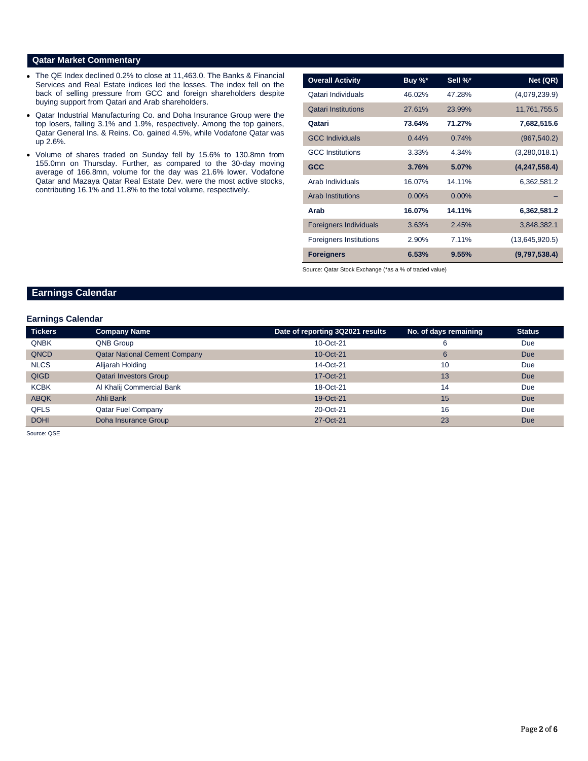# **Qatar Market Commentary**

- The QE Index declined 0.2% to close at 11,463.0. The Banks & Financial Services and Real Estate indices led the losses. The index fell on the back of selling pressure from GCC and foreign shareholders despite buying support from Qatari and Arab shareholders.
- Qatar Industrial Manufacturing Co. and Doha Insurance Group were the top losers, falling 3.1% and 1.9%, respectively. Among the top gainers, Qatar General Ins. & Reins. Co. gained 4.5%, while Vodafone Qatar was up 2.6%.
- Volume of shares traded on Sunday fell by 15.6% to 130.8mn from 155.0mn on Thursday. Further, as compared to the 30-day moving average of 166.8mn, volume for the day was 21.6% lower. Vodafone Qatar and Mazaya Qatar Real Estate Dev. were the most active stocks, contributing 16.1% and 11.8% to the total volume, respectively.

| <b>Overall Activity</b>        | Buy %*   | Sell %*  | Net (QR)        |
|--------------------------------|----------|----------|-----------------|
| Qatari Individuals             | 46.02%   | 47.28%   | (4,079,239.9)   |
| <b>Qatari Institutions</b>     | 27.61%   | 23.99%   | 11,761,755.5    |
| Qatari                         | 73.64%   | 71.27%   | 7,682,515.6     |
| <b>GCC Individuals</b>         | 0.44%    | 0.74%    | (967, 540.2)    |
| <b>GCC</b> Institutions        | 3.33%    | 4.34%    | (3,280,018.1)   |
| <b>GCC</b>                     | 3.76%    | 5.07%    | (4, 247, 558.4) |
| Arab Individuals               | 16.07%   | 14.11%   | 6,362,581.2     |
| <b>Arab Institutions</b>       | $0.00\%$ | $0.00\%$ |                 |
| Arab                           | 16.07%   | 14.11%   | 6,362,581.2     |
| <b>Foreigners Individuals</b>  | 3.63%    | 2.45%    | 3,848,382.1     |
| <b>Foreigners Institutions</b> | 2.90%    | 7.11%    | (13,645,920.5)  |
| <b>Foreigners</b>              | 6.53%    | 9.55%    | (9,797,538.4)   |

Source: Qatar Stock Exchange (\*as a % of traded value)

# **Earnings Calendar**

### **Earnings Calendar**

| <b>Tickers</b> | <b>Company Name</b>                  | Date of reporting 3Q2021 results | No. of days remaining | <b>Status</b> |
|----------------|--------------------------------------|----------------------------------|-----------------------|---------------|
| <b>QNBK</b>    | QNB Group                            | 10-Oct-21                        | 6                     | Due           |
| QNCD           | <b>Qatar National Cement Company</b> | 10-Oct-21                        | 6                     | <b>Due</b>    |
| <b>NLCS</b>    | Alijarah Holding                     | 14-Oct-21                        | 10                    | Due           |
| QIGD           | <b>Qatari Investors Group</b>        | 17-Oct-21                        | 13                    | <b>Due</b>    |
| <b>KCBK</b>    | Al Khalij Commercial Bank            | 18-Oct-21                        | 14                    | Due           |
| <b>ABQK</b>    | Ahli Bank                            | 19-Oct-21                        | 15                    | <b>Due</b>    |
| <b>QFLS</b>    | <b>Qatar Fuel Company</b>            | 20-Oct-21                        | 16                    | Due           |
| <b>DOHI</b>    | Doha Insurance Group                 | 27-Oct-21                        | 23                    | <b>Due</b>    |

Source: QSE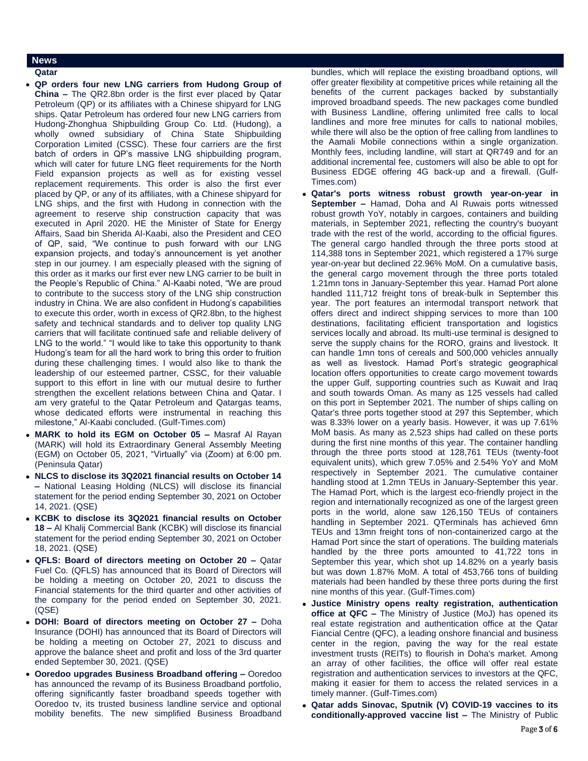# **News**

- **Qatar**
- **QP orders four new LNG carriers from Hudong Group of China –** The QR2.8bn order is the first ever placed by Qatar Petroleum (QP) or its affiliates with a Chinese shipyard for LNG ships. Qatar Petroleum has ordered four new LNG carriers from Hudong-Zhonghua Shipbuilding Group Co. Ltd. (Hudong), a wholly owned subsidiary of China State Shipbuilding Corporation Limited (CSSC). These four carriers are the first batch of orders in QP's massive LNG shipbuilding program, which will cater for future LNG fleet requirements for the North Field expansion projects as well as for existing vessel replacement requirements. This order is also the first ever placed by QP, or any of its affiliates, with a Chinese shipyard for LNG ships, and the first with Hudong in connection with the agreement to reserve ship construction capacity that was executed in April 2020. HE the Minister of State for Energy Affairs, Saad bin Sherida Al-Kaabi, also the President and CEO of QP, said, "We continue to push forward with our LNG expansion projects, and today's announcement is yet another step in our journey. I am especially pleased with the signing of this order as it marks our first ever new LNG carrier to be built in the People's Republic of China." Al-Kaabi noted, "We are proud to contribute to the success story of the LNG ship construction industry in China. We are also confident in Hudong's capabilities to execute this order, worth in excess of QR2.8bn, to the highest safety and technical standards and to deliver top quality LNG carriers that will facilitate continued safe and reliable delivery of LNG to the world." "I would like to take this opportunity to thank Hudong's team for all the hard work to bring this order to fruition during these challenging times. I would also like to thank the leadership of our esteemed partner, CSSC, for their valuable support to this effort in line with our mutual desire to further strengthen the excellent relations between China and Qatar. I am very grateful to the Qatar Petroleum and Qatargas teams, whose dedicated efforts were instrumental in reaching this milestone," Al-Kaabi concluded. (Gulf-Times.com)
- **MARK to hold its EGM on October 05 –** Masraf Al Rayan (MARK) will hold its Extraordinary General Assembly Meeting (EGM) on October 05, 2021, "Virtually" via (Zoom) at 6:00 pm. (Peninsula Qatar)
- **NLCS to disclose its 3Q2021 financial results on October 14 –** National Leasing Holding (NLCS) will disclose its financial statement for the period ending September 30, 2021 on October 14, 2021. (QSE)
- **KCBK to disclose its 3Q2021 financial results on October 18 –** Al Khalij Commercial Bank (KCBK) will disclose its financial statement for the period ending September 30, 2021 on October 18, 2021. (QSE)
- **QFLS: Board of directors meeting on October 20 –** Qatar Fuel Co. (QFLS) has announced that its Board of Directors will be holding a meeting on October 20, 2021 to discuss the Financial statements for the third quarter and other activities of the company for the period ended on September 30, 2021. (QSE)
- **DOHI: Board of directors meeting on October 27 –** Doha Insurance (DOHI) has announced that its Board of Directors will be holding a meeting on October 27, 2021 to discuss and approve the balance sheet and profit and loss of the 3rd quarter ended September 30, 2021. (QSE)
- **Ooredoo upgrades Business Broadband offering –** Ooredoo has announced the revamp of its Business Broadband portfolio, offering significantly faster broadband speeds together with Ooredoo tv, its trusted business landline service and optional mobility benefits. The new simplified Business Broadband

bundles, which will replace the existing broadband options, will offer greater flexibility at competitive prices while retaining all the benefits of the current packages backed by substantially improved broadband speeds. The new packages come bundled with Business Landline, offering unlimited free calls to local landlines and more free minutes for calls to national mobiles, while there will also be the option of free calling from landlines to the Aamali Mobile connections within a single organization. Monthly fees, including landline, will start at QR749 and for an additional incremental fee, customers will also be able to opt for Business EDGE offering 4G back-up and a firewall. (Gulf-Times.com)

- **Qatar's ports witness robust growth year-on-year in September –** Hamad, Doha and Al Ruwais ports witnessed robust growth YoY, notably in cargoes, containers and building materials, in September 2021, reflecting the country's buoyant trade with the rest of the world, according to the official figures. The general cargo handled through the three ports stood at 114,388 tons in September 2021, which registered a 17% surge year-on-year but declined 22.96% MoM. On a cumulative basis, the general cargo movement through the three ports totaled 1.21mn tons in January-September this year. Hamad Port alone handled 111,712 freight tons of break-bulk in September this year. The port features an intermodal transport network that offers direct and indirect shipping services to more than 100 destinations, facilitating efficient transportation and logistics services locally and abroad. Its multi-use terminal is designed to serve the supply chains for the RORO, grains and livestock. It can handle 1mn tons of cereals and 500,000 vehicles annually as well as livestock. Hamad Port's strategic geographical location offers opportunities to create cargo movement towards the upper Gulf, supporting countries such as Kuwait and Iraq and south towards Oman. As many as 125 vessels had called on this port in September 2021. The number of ships calling on Qatar's three ports together stood at 297 this September, which was 8.33% lower on a yearly basis. However, it was up 7.61% MoM basis. As many as 2,523 ships had called on these ports during the first nine months of this year. The container handling through the three ports stood at 128,761 TEUs (twenty-foot equivalent units), which grew 7.05% and 2.54% YoY and MoM respectively in September 2021. The cumulative container handling stood at 1.2mn TEUs in January-September this year. The Hamad Port, which is the largest eco-friendly project in the region and internationally recognized as one of the largest green ports in the world, alone saw 126,150 TEUs of containers handling in September 2021. QTerminals has achieved 6mn TEUs and 13mn freight tons of non-containerized cargo at the Hamad Port since the start of operations. The building materials handled by the three ports amounted to 41,722 tons in September this year, which shot up 14.82% on a yearly basis but was down 1.87% MoM. A total of 453,766 tons of building materials had been handled by these three ports during the first nine months of this year. (Gulf-Times.com)
- **Justice Ministry opens realty registration, authentication office at QFC –** The Ministry of Justice (MoJ) has opened its real estate registration and authentication office at the Qatar Fiancial Centre (QFC), a leading onshore financial and business center in the region, paving the way for the real estate investment trusts (REITs) to flourish in Doha's market. Among an array of other facilities, the office will offer real estate registration and authentication services to investors at the QFC, making it easier for them to access the related services in a timely manner. (Gulf-Times.com)
- **Qatar adds Sinovac, Sputnik (V) COVID-19 vaccines to its conditionally-approved vaccine list –** The Ministry of Public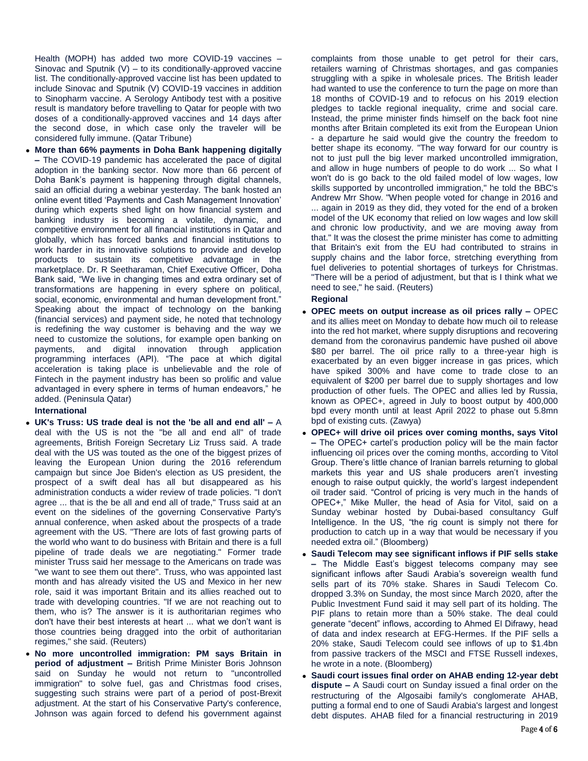Health (MOPH) has added two more COVID-19 vaccines – Sinovac and Sputnik (V) – to its conditionally-approved vaccine list. The conditionally-approved vaccine list has been updated to include Sinovac and Sputnik (V) COVID-19 vaccines in addition to Sinopharm vaccine. A Serology Antibody test with a positive result is mandatory before travelling to Qatar for people with two doses of a conditionally-approved vaccines and 14 days after the second dose, in which case only the traveler will be considered fully immune. (Qatar Tribune)

 **More than 66% payments in Doha Bank happening digitally –** The COVID-19 pandemic has accelerated the pace of digital adoption in the banking sector. Now more than 66 percent of Doha Bank's payment is happening through digital channels, said an official during a webinar yesterday. The bank hosted an online event titled 'Payments and Cash Management Innovation' during which experts shed light on how financial system and banking industry is becoming a volatile, dynamic, and competitive environment for all financial institutions in Qatar and globally, which has forced banks and financial institutions to work harder in its innovative solutions to provide and develop products to sustain its competitive advantage in the marketplace. Dr. R Seetharaman, Chief Executive Officer, Doha Bank said, "We live in changing times and extra ordinary set of transformations are happening in every sphere on political, social, economic, environmental and human development front." Speaking about the impact of technology on the banking (financial services) and payment side, he noted that technology is redefining the way customer is behaving and the way we need to customize the solutions, for example open banking on payments, and digital innovation through application programming interfaces (API). "The pace at which digital acceleration is taking place is unbelievable and the role of Fintech in the payment industry has been so prolific and value advantaged in every sphere in terms of human endeavors," he added. (Peninsula Qatar)

# **International**

- **UK's Truss: US trade deal is not the 'be all and end all' –** A deal with the US is not the "be all and end all" of trade agreements, British Foreign Secretary Liz Truss said. A trade deal with the US was touted as the one of the biggest prizes of leaving the European Union during the 2016 referendum campaign but since Joe Biden's election as US president, the prospect of a swift deal has all but disappeared as his administration conducts a wider review of trade policies. "I don't agree ... that is the be all and end all of trade," Truss said at an event on the sidelines of the governing Conservative Party's annual conference, when asked about the prospects of a trade agreement with the US. "There are lots of fast growing parts of the world who want to do business with Britain and there is a full pipeline of trade deals we are negotiating." Former trade minister Truss said her message to the Americans on trade was "we want to see them out there". Truss, who was appointed last month and has already visited the US and Mexico in her new role, said it was important Britain and its allies reached out to trade with developing countries. "If we are not reaching out to them, who is? The answer is it is authoritarian regimes who don't have their best interests at heart ... what we don't want is those countries being dragged into the orbit of authoritarian regimes," she said. (Reuters)
- **No more uncontrolled immigration: PM says Britain in period of adjustment –** British Prime Minister Boris Johnson said on Sunday he would not return to "uncontrolled immigration" to solve fuel, gas and Christmas food crises, suggesting such strains were part of a period of post-Brexit adjustment. At the start of his Conservative Party's conference, Johnson was again forced to defend his government against

complaints from those unable to get petrol for their cars, retailers warning of Christmas shortages, and gas companies struggling with a spike in wholesale prices. The British leader had wanted to use the conference to turn the page on more than 18 months of COVID-19 and to refocus on his 2019 election pledges to tackle regional inequality, crime and social care. Instead, the prime minister finds himself on the back foot nine months after Britain completed its exit from the European Union - a departure he said would give the country the freedom to better shape its economy. "The way forward for our country is not to just pull the big lever marked uncontrolled immigration, and allow in huge numbers of people to do work ... So what I won't do is go back to the old failed model of low wages, low skills supported by uncontrolled immigration," he told the BBC's Andrew Mrr Show. "When people voted for change in 2016 and ... again in 2019 as they did, they voted for the end of a broken model of the UK economy that relied on low wages and low skill and chronic low productivity, and we are moving away from that." It was the closest the prime minister has come to admitting that Britain's exit from the EU had contributed to strains in supply chains and the labor force, stretching everything from fuel deliveries to potential shortages of turkeys for Christmas. "There will be a period of adjustment, but that is I think what we need to see," he said. (Reuters)

## **Regional**

- **OPEC meets on output increase as oil prices rally –** OPEC and its allies meet on Monday to debate how much oil to release into the red hot market, where supply disruptions and recovering demand from the coronavirus pandemic have pushed oil above \$80 per barrel. The oil price rally to a three-year high is exacerbated by an even bigger increase in gas prices, which have spiked 300% and have come to trade close to an equivalent of \$200 per barrel due to supply shortages and low production of other fuels. The OPEC and allies led by Russia, known as OPEC+, agreed in July to boost output by 400,000 bpd every month until at least April 2022 to phase out 5.8mn bpd of existing cuts. (Zawya)
- **OPEC+ will drive oil prices over coming months, says Vitol –** The OPEC+ cartel's production policy will be the main factor influencing oil prices over the coming months, according to Vitol Group. There's little chance of Iranian barrels returning to global markets this year and US shale producers aren't investing enough to raise output quickly, the world's largest independent oil trader said. "Control of pricing is very much in the hands of OPEC+," Mike Muller, the head of Asia for Vitol, said on a Sunday webinar hosted by Dubai-based consultancy Gulf Intelligence. In the US, "the rig count is simply not there for production to catch up in a way that would be necessary if you needed extra oil." (Bloomberg)
- **Saudi Telecom may see significant inflows if PIF sells stake –** The Middle East's biggest telecoms company may see significant inflows after Saudi Arabia's sovereign wealth fund sells part of its 70% stake. Shares in Saudi Telecom Co. dropped 3.3% on Sunday, the most since March 2020, after the Public Investment Fund said it may sell part of its holding. The PIF plans to retain more than a 50% stake. The deal could generate "decent" inflows, according to Ahmed El Difrawy, head of data and index research at EFG-Hermes. If the PIF sells a 20% stake, Saudi Telecom could see inflows of up to \$1.4bn from passive trackers of the MSCI and FTSE Russell indexes, he wrote in a note. (Bloomberg)
- **Saudi court issues final order on AHAB ending 12-year debt dispute –** A Saudi court on Sunday issued a final order on the restructuring of the Algosaibi family's conglomerate AHAB, putting a formal end to one of Saudi Arabia's largest and longest debt disputes. AHAB filed for a financial restructuring in 2019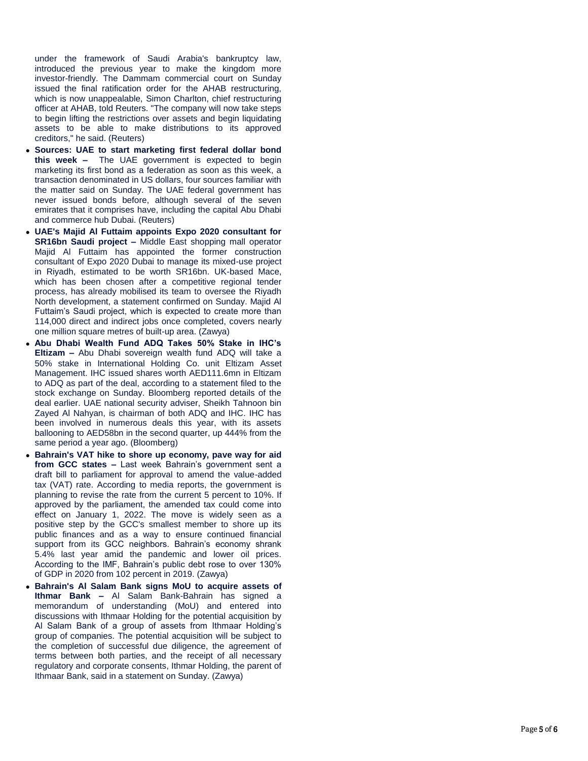under the framework of Saudi Arabia's bankruptcy law, introduced the previous year to make the kingdom more investor -friendly. The Dammam commercial court on Sunday issued the final ratification order for the AHAB restructuring, which is now unappealable, Simon Charlton, chief restructuring officer at AHAB, told Reuters. "The company will now take steps to begin lifting the restrictions over assets and begin liquidating assets to be able to make distributions to its approved creditors," he said. (Reuters)

- **Sources: UAE to start marketing first federal dollar bond this week –** The UAE government is expected to begin marketing its first bond as a federation as soon as this week, a transaction denominated in US dollars, four sources familiar with the matter said on Sunday. The UAE federal government has never issued bonds before, although several of the seven emirates that it comprises have, including the capital Abu Dhabi and commerce hub Dubai. (Reuters)
- **UAE's Majid Al Futtaim appoints Expo 2020 consultant for SR16bn Saudi project –** Middle East shopping mall operator Majid Al Futtaim has appointed the former construction consultant of Expo 2020 Dubai to manage its mixed -use project in Riyadh, estimated to be worth SR16bn. UK -based Mace, which has been chosen after a competitive regional tender process, has already mobilised its team to oversee the Riyadh North development, a statement confirmed on Sunday. Majid Al Futtaim's Saudi project, which is expected to create more than 114,000 direct and indirect jobs once completed, covers nearly one million square metres of built -up area. (Zawya)
- **Abu Dhabi Wealth Fund ADQ Takes 50% Stake in IHC's Eltizam –** Abu Dhabi sovereign wealth fund ADQ will take a 50% stake in International Holding Co. unit Eltizam Asset Management. IHC issued shares worth AED111.6mn in Eltizam to ADQ as part of the deal, according to a statement filed to the stock exchange on Sunday. Bloomberg reported details of the deal earlier. UAE national security adviser, Sheikh Tahnoon bin Zayed Al Nahyan, is chairman of both ADQ and IHC. IHC has been involved in numerous deals this year, with its assets ballooning to AED58bn in the second quarter, up 444% from the same period a year ago. (Bloomberg)
- **Bahrain's VAT hike to shore up economy, pave way for aid from GCC states –** Last week Bahrain's government sent a draft bill to parliament for approval to amend the value -added tax (VAT) rate. According to media reports, the government is planning to revise the rate from the current 5 percent to 10%. If approved by the parliament, the amended tax could come into effect on January 1, 2022. The move is widely seen as a positive step by the GCC's smallest member to shore up its public finances and as a way to ensure continued financial support from its GCC neighbors. Bahrain's economy shrank 5.4% last year amid the pandemic and lower oil prices. According to the IMF, Bahrain's public debt rose to over 130% of GDP in 2020 from 102 percent in 2019. (Zawya)
- **Bahrain's Al Salam Bank signs MoU to acquire assets of Ithmar Bank –** Al Salam Bank-Bahrain has signed a memorandum of understanding (MoU) and entered into discussions with Ithmaar Holding for the potential acquisition by Al Salam Bank of a group of assets from Ithmaar Holding's group of companies. The potential acquisition will be subject to the completion of successful due diligence, the agreement of terms between both parties, and the receipt of all necessary regulatory and corporate consents, Ithmar Holding, the parent of Ithmaar Bank, said in a statement on Sunday. (Zawya)